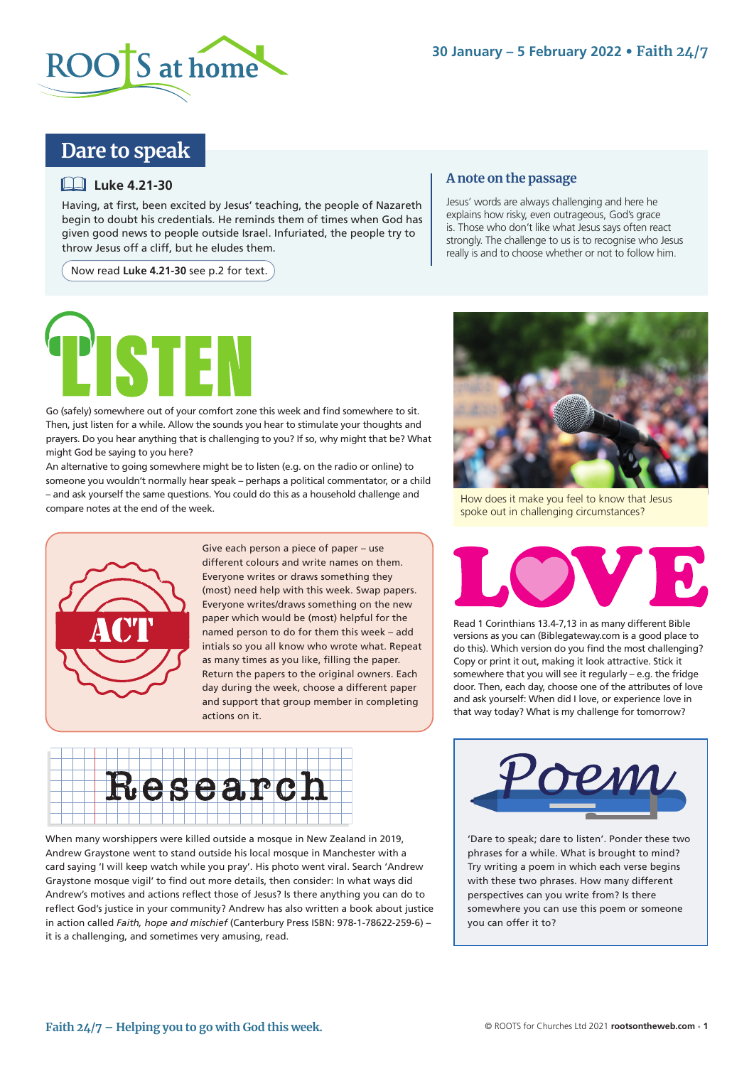

# **Dare to speak**

## **Luke 4.21-30**

Having, at first, been excited by Jesus' teaching, the people of Nazareth begin to doubt his credentials. He reminds them of times when God has given good news to people outside Israel. Infuriated, the people try to throw Jesus off a cliff, but he eludes them.

Now read **Luke 4.21-30** see p.2 for text.

### **A note on the passage**

Jesus' words are always challenging and here he explains how risky, even outrageous, God's grace is. Those who don't like what Jesus says often react strongly. The challenge to us is to recognise who Jesus really is and to choose whether or not to follow him.



Go (safely) somewhere out of your comfort zone this week and find somewhere to sit. Then, just listen for a while. Allow the sounds you hear to stimulate your thoughts and prayers. Do you hear anything that is challenging to you? If so, why might that be? What might God be saying to you here?

An alternative to going somewhere might be to listen (e.g. on the radio or online) to someone you wouldn't normally hear speak – perhaps a political commentator, or a child – and ask yourself the same questions. You could do this as a household challenge and compare notes at the end of the week.



Give each person a piece of paper – use different colours and write names on them. Everyone writes or draws something they (most) need help with this week. Swap papers. Everyone writes/draws something on the new paper which would be (most) helpful for the named person to do for them this week – add intials so you all know who wrote what. Repeat as many times as you like, filling the paper. Return the papers to the original owners. Each day during the week, choose a different paper and support that group member in completing actions on it.



When many worshippers were killed outside a mosque in New Zealand in 2019, Andrew Graystone went to stand outside his local mosque in Manchester with a card saying 'I will keep watch while you pray'. His photo went viral. Search 'Andrew Graystone mosque vigil' to find out more details, then consider: In what ways did Andrew's motives and actions reflect those of Jesus? Is there anything you can do to reflect God's justice in your community? Andrew has also written a book about justice in action called *Faith, hope and mischief* (Canterbury Press ISBN: 978-1-78622-259-6) – it is a challenging, and sometimes very amusing, read.



How does it make you feel to know that Jesus spoke out in challenging circumstances?



Read 1 Corinthians 13.4-7,13 in as many different Bible versions as you can (Biblegateway.com is a good place to do this). Which version do you find the most challenging? Copy or print it out, making it look attractive. Stick it somewhere that you will see it regularly – e.g. the fridge door. Then, each day, choose one of the attributes of love and ask yourself: When did I love, or experience love in that way today? What is my challenge for tomorrow?



'Dare to speak; dare to listen'. Ponder these two phrases for a while. What is brought to mind? Try writing a poem in which each verse begins with these two phrases. How many different perspectives can you write from? Is there somewhere you can use this poem or someone you can offer it to?